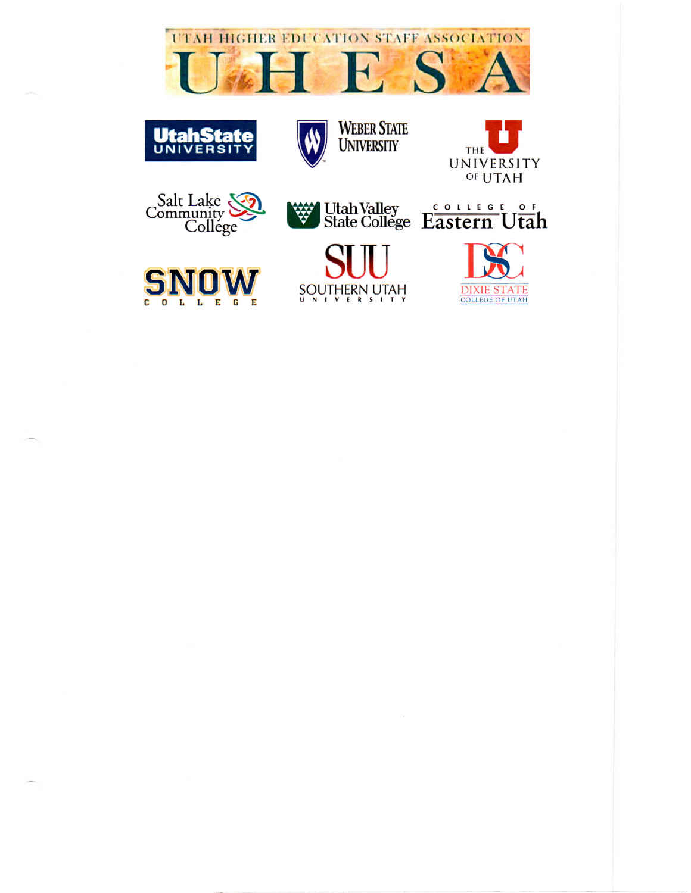